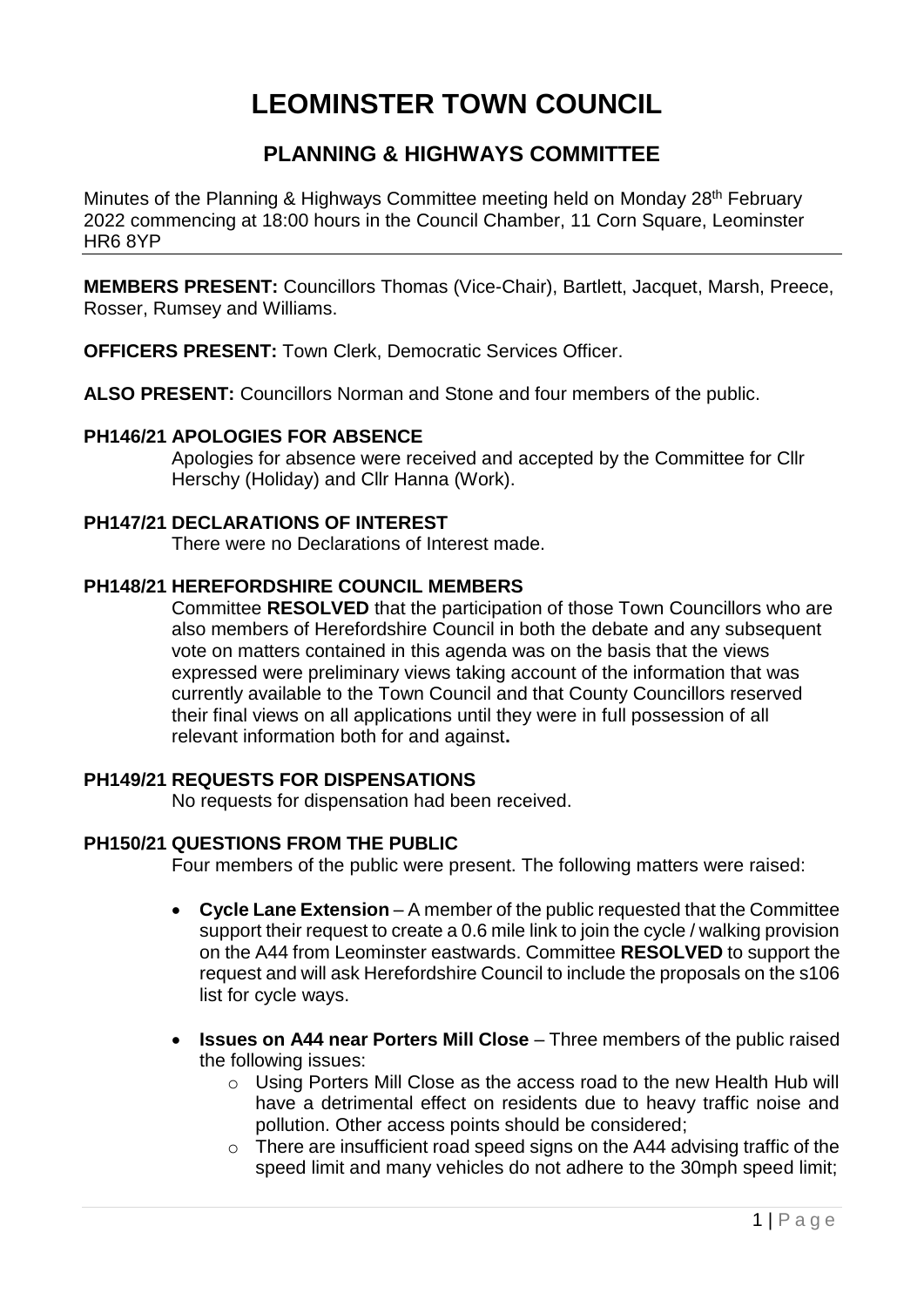# **LEOMINSTER TOWN COUNCIL**

# **PLANNING & HIGHWAYS COMMITTEE**

Minutes of the Planning & Highways Committee meeting held on Monday 28<sup>th</sup> February 2022 commencing at 18:00 hours in the Council Chamber, 11 Corn Square, Leominster HR6 8YP

**MEMBERS PRESENT:** Councillors Thomas (Vice-Chair), Bartlett, Jacquet, Marsh, Preece, Rosser, Rumsey and Williams.

**OFFICERS PRESENT:** Town Clerk, Democratic Services Officer.

**ALSO PRESENT:** Councillors Norman and Stone and four members of the public.

#### **PH146/21 APOLOGIES FOR ABSENCE**

Apologies for absence were received and accepted by the Committee for Cllr Herschy (Holiday) and Cllr Hanna (Work).

# **PH147/21 DECLARATIONS OF INTEREST**

There were no Declarations of Interest made.

## **PH148/21 HEREFORDSHIRE COUNCIL MEMBERS**

Committee **RESOLVED** that the participation of those Town Councillors who are also members of Herefordshire Council in both the debate and any subsequent vote on matters contained in this agenda was on the basis that the views expressed were preliminary views taking account of the information that was currently available to the Town Council and that County Councillors reserved their final views on all applications until they were in full possession of all relevant information both for and against**.**

# **PH149/21 REQUESTS FOR DISPENSATIONS**

No requests for dispensation had been received.

#### **PH150/21 QUESTIONS FROM THE PUBLIC**

Four members of the public were present. The following matters were raised:

- **Cycle Lane Extension**  A member of the public requested that the Committee support their request to create a 0.6 mile link to join the cycle / walking provision on the A44 from Leominster eastwards. Committee **RESOLVED** to support the request and will ask Herefordshire Council to include the proposals on the s106 list for cycle ways.
- **Issues on A44 near Porters Mill Close** Three members of the public raised the following issues:
	- o Using Porters Mill Close as the access road to the new Health Hub will have a detrimental effect on residents due to heavy traffic noise and pollution. Other access points should be considered;
	- $\circ$  There are insufficient road speed signs on the A44 advising traffic of the speed limit and many vehicles do not adhere to the 30mph speed limit;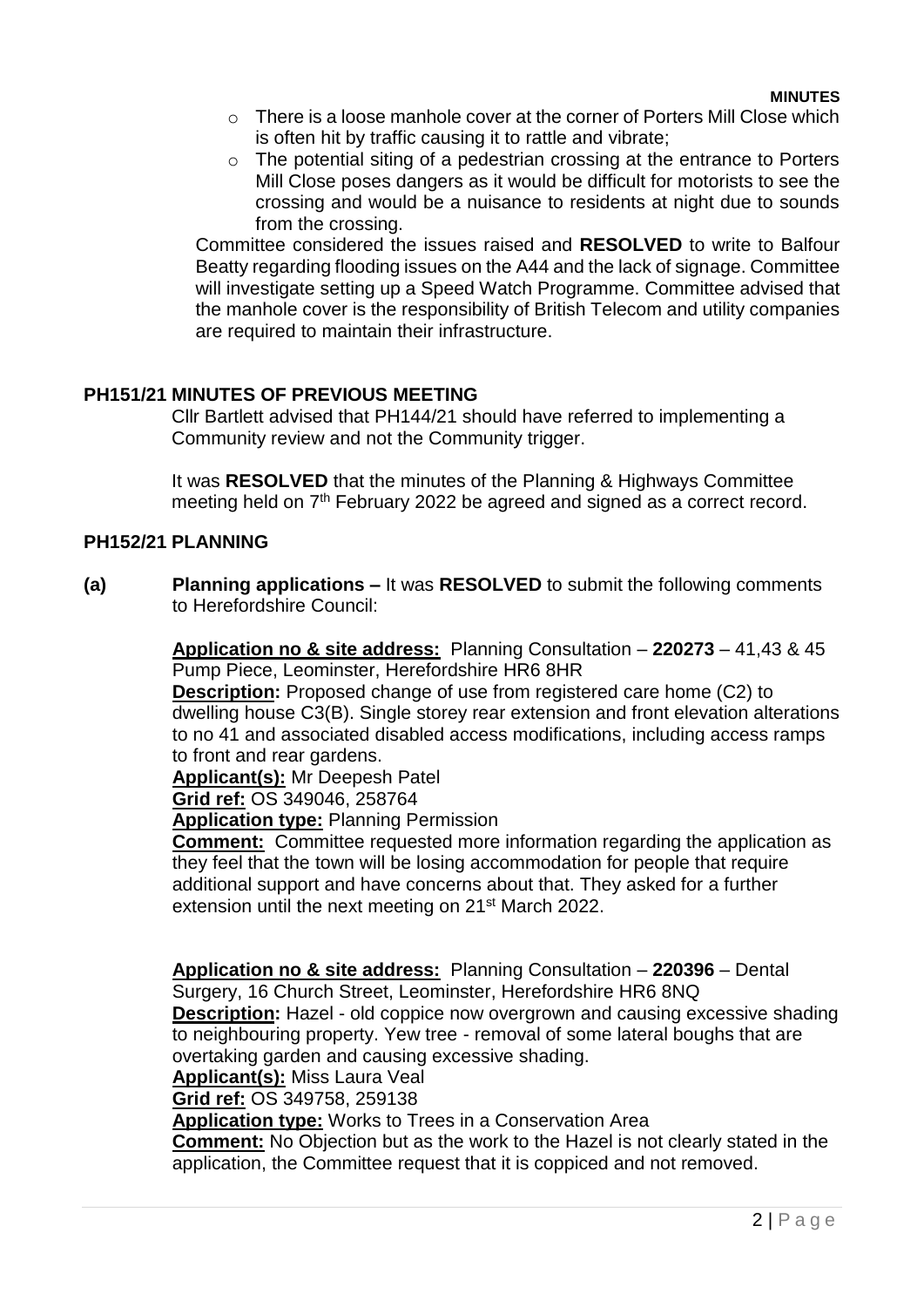- $\circ$  There is a loose manhole cover at the corner of Porters Mill Close which is often hit by traffic causing it to rattle and vibrate;
- o The potential siting of a pedestrian crossing at the entrance to Porters Mill Close poses dangers as it would be difficult for motorists to see the crossing and would be a nuisance to residents at night due to sounds from the crossing.

Committee considered the issues raised and **RESOLVED** to write to Balfour Beatty regarding flooding issues on the A44 and the lack of signage. Committee will investigate setting up a Speed Watch Programme. Committee advised that the manhole cover is the responsibility of British Telecom and utility companies are required to maintain their infrastructure.

## **PH151/21 MINUTES OF PREVIOUS MEETING**

Cllr Bartlett advised that PH144/21 should have referred to implementing a Community review and not the Community trigger.

It was **RESOLVED** that the minutes of the Planning & Highways Committee meeting held on 7<sup>th</sup> February 2022 be agreed and signed as a correct record.

#### **PH152/21 PLANNING**

**(a) Planning applications –** It was **RESOLVED** to submit the following comments to Herefordshire Council:

> **Application no & site address:** Planning Consultation – **220273** – 41,43 & 45 Pump Piece, Leominster, Herefordshire HR6 8HR

**Description:** Proposed change of use from registered care home (C2) to dwelling house C3(B). Single storey rear extension and front elevation alterations to no 41 and associated disabled access modifications, including access ramps to front and rear gardens.

**Applicant(s):** Mr Deepesh Patel

**Grid ref:** OS 349046, 258764

**Application type:** Planning Permission

**Comment:** Committee requested more information regarding the application as they feel that the town will be losing accommodation for people that require additional support and have concerns about that. They asked for a further extension until the next meeting on 21<sup>st</sup> March 2022.

**Application no & site address:** Planning Consultation – **220396** – Dental Surgery, 16 Church Street, Leominster, Herefordshire HR6 8NQ **Description:** Hazel - old coppice now overgrown and causing excessive shading to neighbouring property. Yew tree - removal of some lateral boughs that are overtaking garden and causing excessive shading. **Applicant(s):** Miss Laura Veal **Grid ref:** OS 349758, 259138

**Application type:** Works to Trees in a Conservation Area

**Comment:** No Objection but as the work to the Hazel is not clearly stated in the application, the Committee request that it is coppiced and not removed.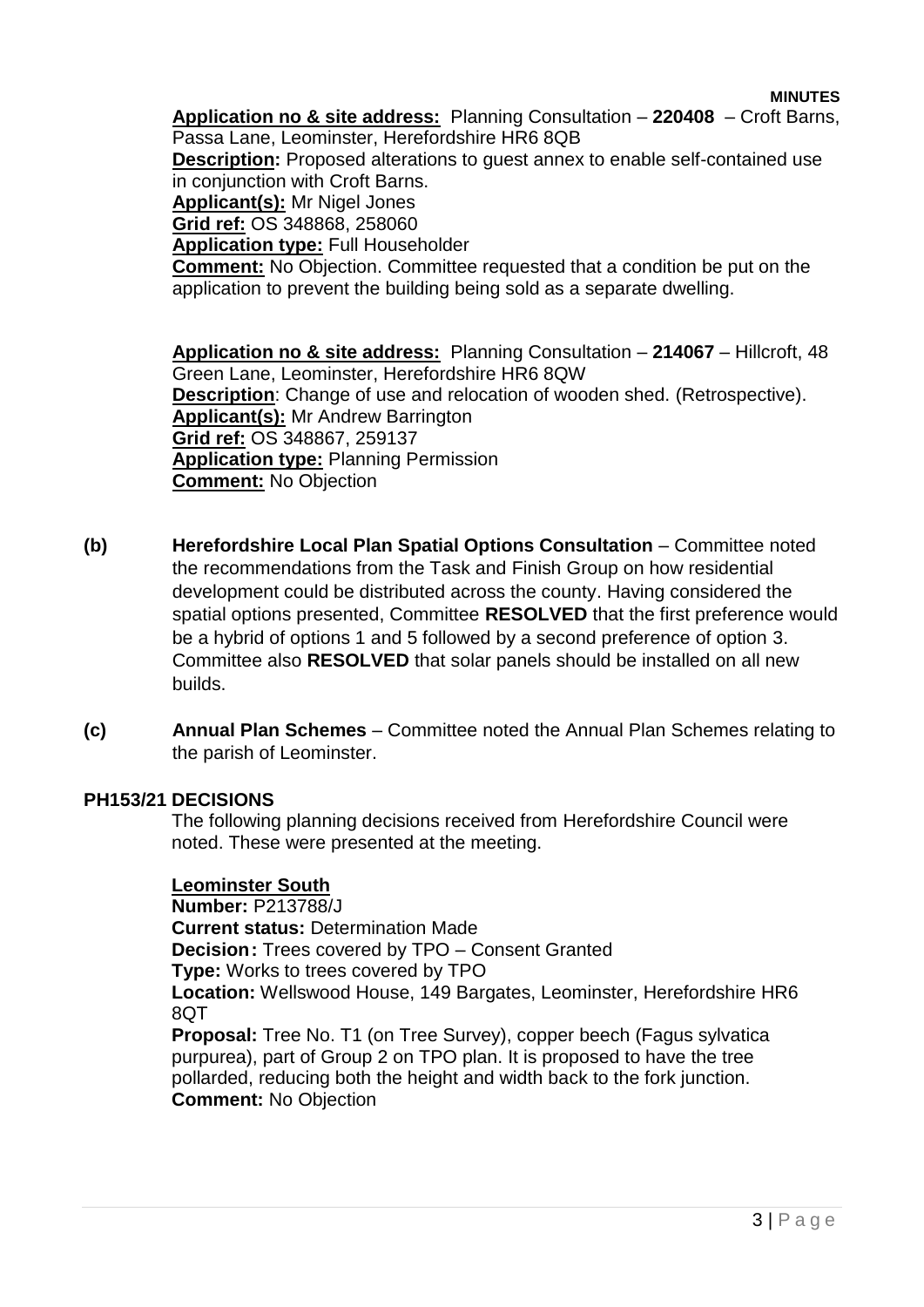#### **MINUTES**

**Application no & site address:** Planning Consultation – **220408** – Croft Barns, Passa Lane, Leominster, Herefordshire HR6 8QB **Description:** Proposed alterations to guest annex to enable self-contained use in conjunction with Croft Barns. **Applicant(s):** Mr Nigel Jones **Grid ref:** OS 348868, 258060 **Application type:** Full Householder **Comment:** No Objection. Committee requested that a condition be put on the application to prevent the building being sold as a separate dwelling.

**Application no & site address:** Planning Consultation – **214067** – Hillcroft, 48 Green Lane, Leominster, Herefordshire HR6 8QW **Description**: Change of use and relocation of wooden shed. (Retrospective). **Applicant(s):** Mr Andrew Barrington **Grid ref:** OS 348867, 259137 **Application type:** Planning Permission **Comment:** No Objection

- **(b) Herefordshire Local Plan Spatial Options Consultation**  Committee noted the recommendations from the Task and Finish Group on how residential development could be distributed across the county. Having considered the spatial options presented, Committee **RESOLVED** that the first preference would be a hybrid of options 1 and 5 followed by a second preference of option 3. Committee also **RESOLVED** that solar panels should be installed on all new builds.
- **(c) Annual Plan Schemes**  Committee noted the Annual Plan Schemes relating to the parish of Leominster.

#### **PH153/21 DECISIONS**

The following planning decisions received from Herefordshire Council were noted. These were presented at the meeting.

#### **Leominster South**

**Number:** P213788/J **Current status:** Determination Made **Decision:** Trees covered by TPO – Consent Granted **Type:** Works to trees covered by TPO **Location:** Wellswood House, 149 Bargates, Leominster, Herefordshire HR6 8QT **Proposal:** Tree No. T1 (on Tree Survey), copper beech (Fagus sylvatica purpurea), part of Group 2 on TPO plan. It is proposed to have the tree pollarded, reducing both the height and width back to the fork junction. **Comment:** No Objection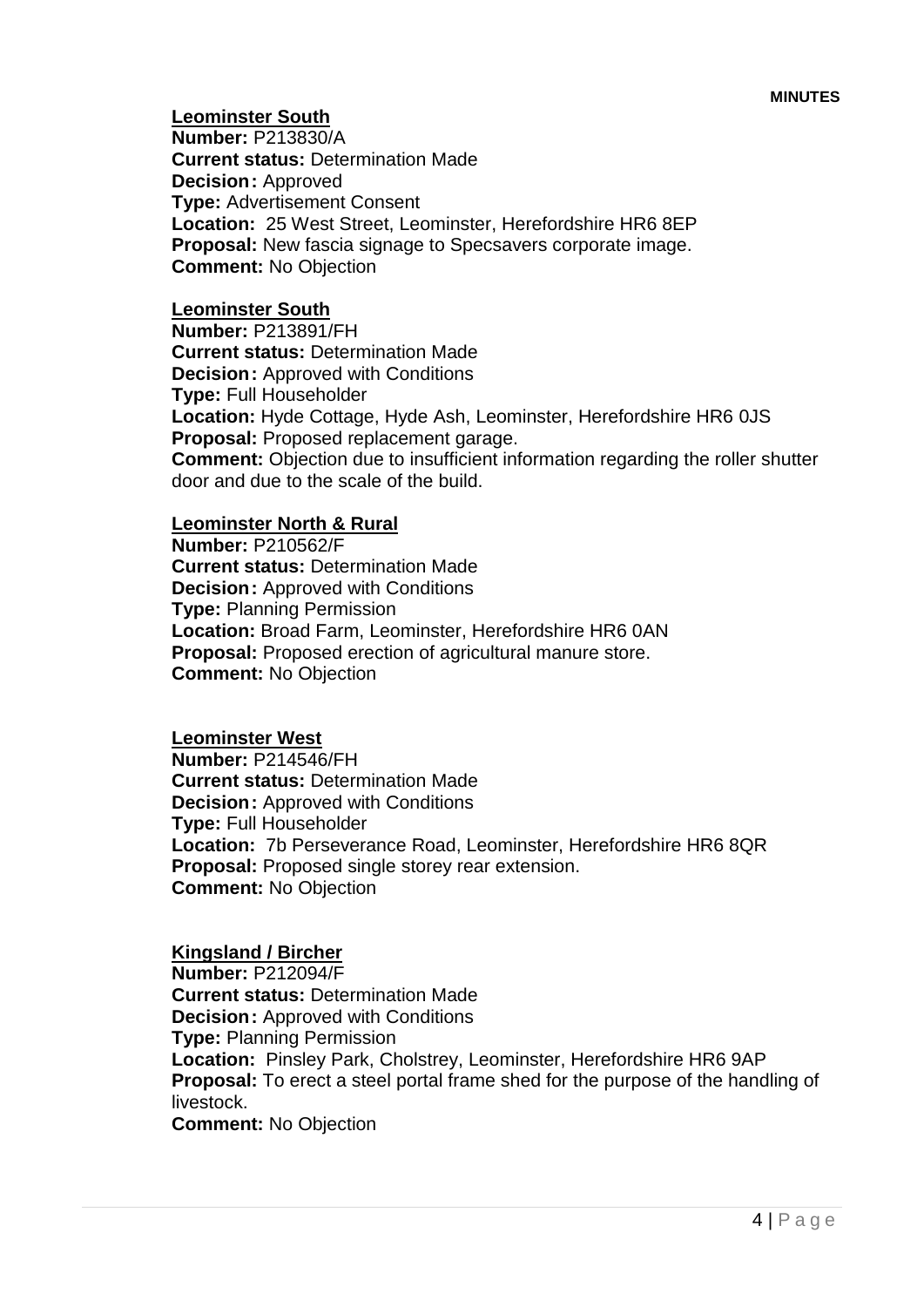**Leominster South**

**Number:** P213830/A **Current status:** Determination Made **Decision:** Approved **Type:** Advertisement Consent **Location:** 25 West Street, Leominster, Herefordshire HR6 8EP **Proposal:** New fascia signage to Specsavers corporate image. **Comment:** No Objection

#### **Leominster South**

**Number:** P213891/FH **Current status:** Determination Made **Decision:** Approved with Conditions **Type:** Full Householder **Location:** Hyde Cottage, Hyde Ash, Leominster, Herefordshire HR6 0JS **Proposal:** Proposed replacement garage. **Comment:** Objection due to insufficient information regarding the roller shutter door and due to the scale of the build.

## **Leominster North & Rural**

**Number:** P210562/F **Current status:** Determination Made **Decision:** Approved with Conditions **Type:** Planning Permission **Location:** Broad Farm, Leominster, Herefordshire HR6 0AN **Proposal:** Proposed erection of agricultural manure store. **Comment:** No Objection

#### **Leominster West**

**Number:** P214546/FH **Current status:** Determination Made **Decision:** Approved with Conditions **Type:** Full Householder **Location:** 7b Perseverance Road, Leominster, Herefordshire HR6 8QR **Proposal:** Proposed single storey rear extension. **Comment:** No Objection

#### **Kingsland / Bircher**

**Number:** P212094/F **Current status:** Determination Made **Decision:** Approved with Conditions **Type:** Planning Permission **Location:** Pinsley Park, Cholstrey, Leominster, Herefordshire HR6 9AP **Proposal:** To erect a steel portal frame shed for the purpose of the handling of livestock.

**Comment:** No Objection